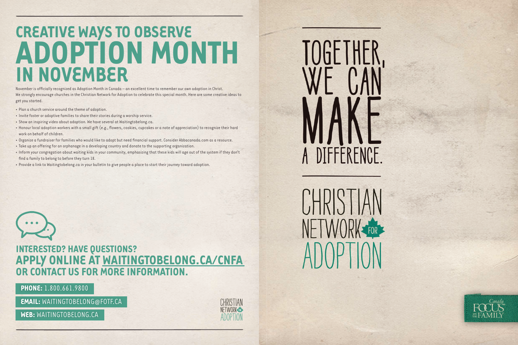# CREATIVE WAYS TO OBSERVE **ADOPTION MONTH IN NOVEMBER**

November is officially recognized as Adoption Month in Canada - an excellent time to remember our own adoption in Christ. We strongly encourage churches in the Christian Network for Adoption to celebrate this special month. Here are some creative ideas to get you started.

- . Plan a church service around the theme of adoption.
- . Invite foster or adoptive families to share their stories during a worship service.
- · Show an inspiring video about adoption. We have several at Waitingtobelong.ca.
- Honour local adoption workers with a small gift (e.g., flowers, cookies, cupcakes or a note of appreciation) to recognize their hard work on behalf of children.
- . Organize a fundraiser for families who would like to adopt but need financial support. Consider Abbacanada.com as a resource.
- · Take up an offering for an orphanage in a developing country and donate to the supporting organization.
- . Inform your congregation about waiting kids in your community, emphasizing that these kids will age out of the system if they don't find a family to belong to before they turn 18.
- Provide a link to Waitingtobelong.ca in your bulletin to give people a place to start their journey toward adoption.



### **INTERESTED? HAVE QUESTIONS?** APPLY ONLINE AT WAITINGTOBELONG.CA/CNFA OR CONTACT US FOR MORE INFORMATION.

**PHONE:** 1.800.661.9800

**EMAIL: WAITINGTOBELONG@FOTF.CA** 

WEB: WAITINGTOBELONG.CA